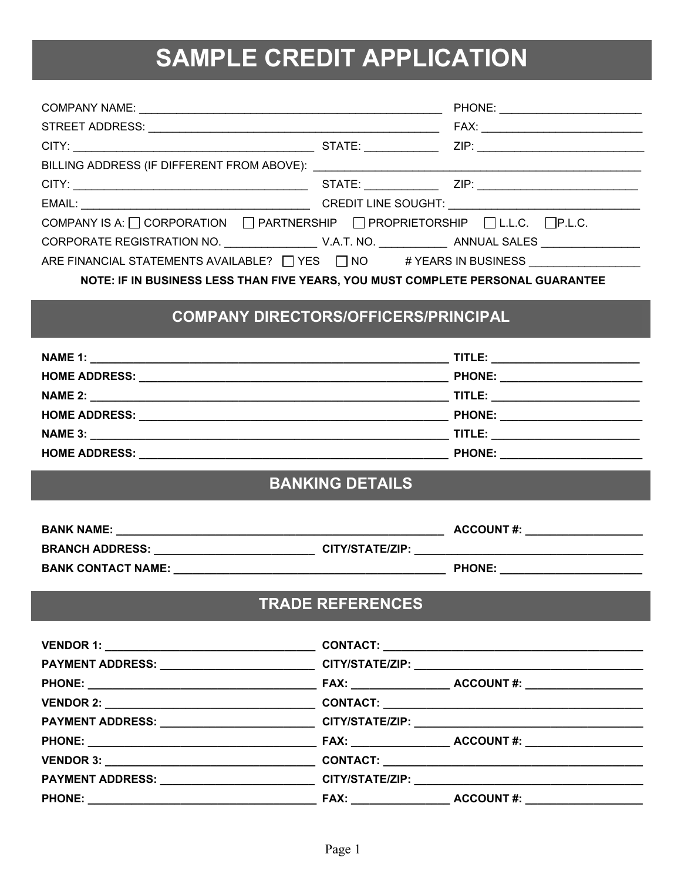## SAMPLE CREDIT APPLICATION

| COMPANY IS A: $\Box$ CORPORATION $\Box$ PARTNERSHIP $\Box$ PROPRIETORSHIP $\Box$ L.L.C. $\Box$ P.L.C. |                         |  |
|-------------------------------------------------------------------------------------------------------|-------------------------|--|
|                                                                                                       |                         |  |
| ARE FINANCIAL STATEMENTS AVAILABLE? □ YES □ NO # YEARS IN BUSINESS                                    |                         |  |
| NOTE: IF IN BUSINESS LESS THAN FIVE YEARS, YOU MUST COMPLETE PERSONAL GUARANTEE                       |                         |  |
| <b>COMPANY DIRECTORS/OFFICERS/PRINCIPAL</b>                                                           |                         |  |
|                                                                                                       |                         |  |
|                                                                                                       |                         |  |
|                                                                                                       |                         |  |
|                                                                                                       |                         |  |
|                                                                                                       |                         |  |
|                                                                                                       |                         |  |
|                                                                                                       | <b>BANKING DETAILS</b>  |  |
|                                                                                                       |                         |  |
| BRANCH ADDRESS: _____________________________CITY/STATE/ZIP: ___________________                      |                         |  |
|                                                                                                       |                         |  |
|                                                                                                       |                         |  |
|                                                                                                       | <b>TRADE REFERENCES</b> |  |
|                                                                                                       |                         |  |
| PAYMENT ADDRESS: __________________________________CITY/STATE/ZIP: _________________________________  |                         |  |
|                                                                                                       |                         |  |
|                                                                                                       |                         |  |
|                                                                                                       |                         |  |
|                                                                                                       |                         |  |
|                                                                                                       |                         |  |
| PAYMENT ADDRESS: __________________________________CITY/STATE/ZIP: _________________________________  |                         |  |
|                                                                                                       |                         |  |